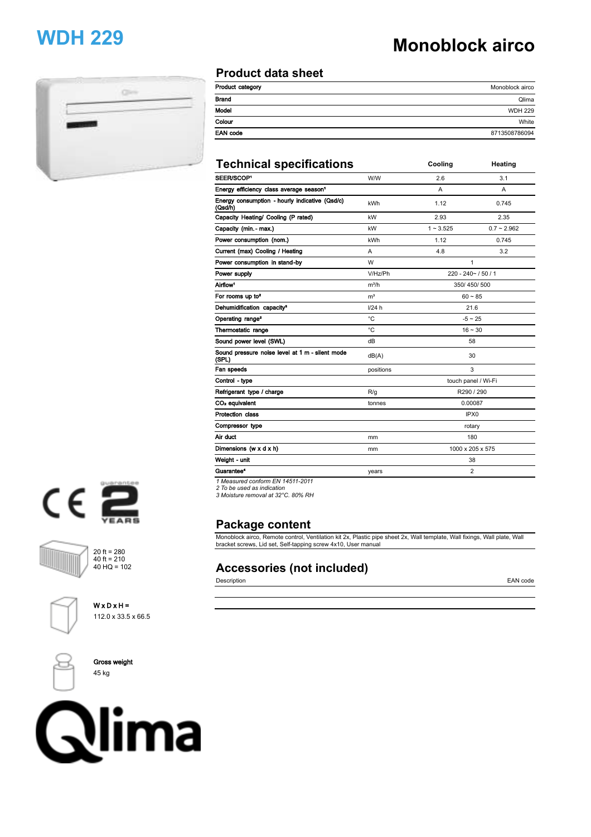# **WDH 229 Monoblock airco**



### **Product data sheet**

| Monoblock airco |
|-----------------|
| Qlima           |
| <b>WDH 229</b>  |
| White           |
| 8713508786094   |
|                 |

| <b>Technical specifications</b>                           |                | Cooling             | Heating       |
|-----------------------------------------------------------|----------------|---------------------|---------------|
| SEER/SCOP <sup>1</sup>                                    | W/W            | 2.6                 | 3.1           |
| Energy efficiency class average season <sup>1</sup>       |                | A                   | A             |
| Energy consumption - hourly indicative (Qsd/c)<br>(Qsd/h) | <b>kWh</b>     | 1.12                | 0.745         |
| Capacity Heating/ Cooling (P rated)                       | kW             | 2.93                | 2.35          |
| Capacity (min. - max.)                                    | kW             | $1 - 3.525$         | $0.7 - 2.962$ |
| Power consumption (nom.)                                  | kWh            | 1.12                | 0.745         |
| Current (max) Cooling / Heating                           | A              | 4.8                 | 3.2           |
| Power consumption in stand-by                             | W              | 1                   |               |
| Power supply                                              | V/Hz/Ph        | 220 - 240~ / 50 / 1 |               |
| Airflow <sup>1</sup>                                      | $m^3/h$        | 350/450/500         |               |
| For rooms up to <sup>2</sup>                              | m <sup>3</sup> | $60 - 85$           |               |
| Dehumidification capacity <sup>3</sup>                    | 1/24 h         | 21.6                |               |
| Operating range <sup>2</sup>                              | °C             | $-5 \sim 25$        |               |
| Thermostatic range                                        | °C             | $16 - 30$           |               |
| Sound power level (SWL)                                   | dB             | 58                  |               |
| Sound pressure noise level at 1 m - silent mode<br>(SPL)  | dB(A)          | 30                  |               |
| Fan speeds                                                | positions      | 3                   |               |
| Control - type                                            |                | touch panel / Wi-Fi |               |
| Refrigerant type / charge                                 | R/q            | R290 / 290          |               |
| CO <sub>2</sub> equivalent                                | tonnes         | 0.00087             |               |
| <b>Protection class</b>                                   |                | IPX <sub>0</sub>    |               |
| Compressor type                                           |                | rotary              |               |
| Air duct                                                  | mm             | 180                 |               |
| Dimensions (w x d x h)                                    | mm             | 1000 x 205 x 575    |               |
| Weight - unit                                             |                | 38                  |               |
| Guarantee <sup>4</sup>                                    | years          | $\overline{2}$      |               |
| A Mannual conference FM AAEAA 0044                        |                |                     |               |

*1 Measured conform EN 14511-2011 2 To be used as indication 3 Moisture removal at 32°C. 80% RH*

## **Package content**

Monoblock airco, Remote control, Ventilation kit 2x, Plastic pipe sheet 2x, Wall template, Wall fixings, Wall plate, Wall bracket screws, Lid set, Self-tapping screw 4x10, User manual

## **Accessories (not included)**

Description EAN code









**Gross weight** 45 kg

20 ft =  $280$ 40 ft = 210 40 HQ = 102